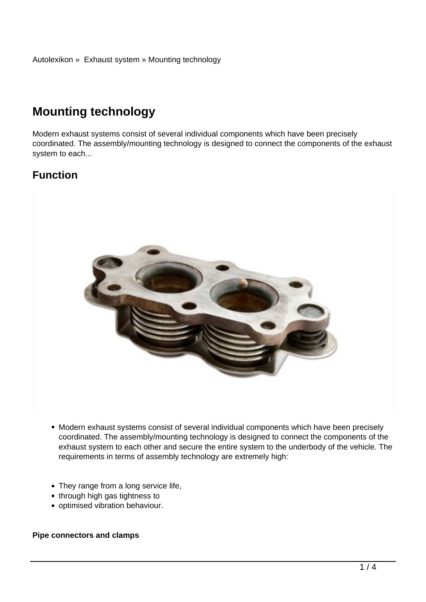# **Mounting technology**

Modern exhaust systems consist of several individual components which have been precisely coordinated. The assembly/mounting technology is designed to connect the components of the exhaust system to each...

## **Function**



- Modern exhaust systems consist of several individual components which have been precisely coordinated. The assembly/mounting technology is designed to connect the components of the exhaust system to each other and secure the entire system to the underbody of the vehicle. The requirements in terms of assembly technology are extremely high:
- They range from a long service life,
- through high gas tightness to
- optimised vibration behaviour.

#### **Pipe connectors and clamps**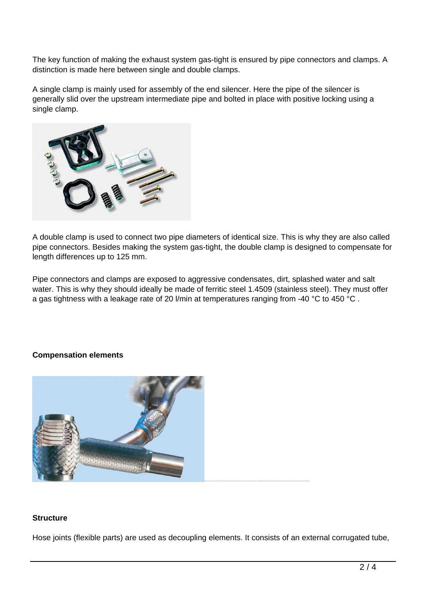The key function of making the exhaust system gas-tight is ensured by pipe connectors and clamps. A distinction is made here between single and double clamps.

A single clamp is mainly used for assembly of the end silencer. Here the pipe of the silencer is generally slid over the upstream intermediate pipe and bolted in place with positive locking using a single clamp.



A double clamp is used to connect two pipe diameters of identical size. This is why they are also called pipe connectors. Besides making the system gas-tight, the double clamp is designed to compensate for length differences up to 125 mm.

Pipe connectors and clamps are exposed to aggressive condensates, dirt, splashed water and salt water. This is why they should ideally be made of ferritic steel 1.4509 (stainless steel). They must offer a gas tightness with a leakage rate of 20 l/min at temperatures ranging from -40 °C to 450 °C.

#### **Compensation elements**



#### **Structure**

Hose joints (flexible parts) are used as decoupling elements. It consists of an external corrugated tube,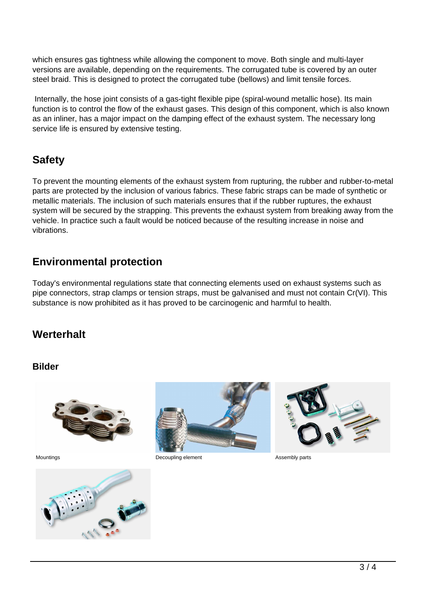which ensures gas tightness while allowing the component to move. Both single and multi-layer versions are available, depending on the requirements. The corrugated tube is covered by an outer steel braid. This is designed to protect the corrugated tube (bellows) and limit tensile forces.

 Internally, the hose joint consists of a gas-tight flexible pipe (spiral-wound metallic hose). Its main function is to control the flow of the exhaust gases. This design of this component, which is also known as an inliner, has a major impact on the damping effect of the exhaust system. The necessary long service life is ensured by extensive testing.

## **Safety**

To prevent the mounting elements of the exhaust system from rupturing, the rubber and rubber-to-metal parts are protected by the inclusion of various fabrics. These fabric straps can be made of synthetic or metallic materials. The inclusion of such materials ensures that if the rubber ruptures, the exhaust system will be secured by the strapping. This prevents the exhaust system from breaking away from the vehicle. In practice such a fault would be noticed because of the resulting increase in noise and vibrations.

## **Environmental protection**

Today's environmental regulations state that connecting elements used on exhaust systems such as pipe connectors, strap clamps or tension straps, must be galvanised and must not contain Cr(VI). This substance is now prohibited as it has proved to be carcinogenic and harmful to health.

## **Werterhalt**

#### **Bilder**







Mountings **Mountings CONFIDENTIAL CONSUMING EXAMPLE ASSEMBLY parts Decoupling element Assembly parts**